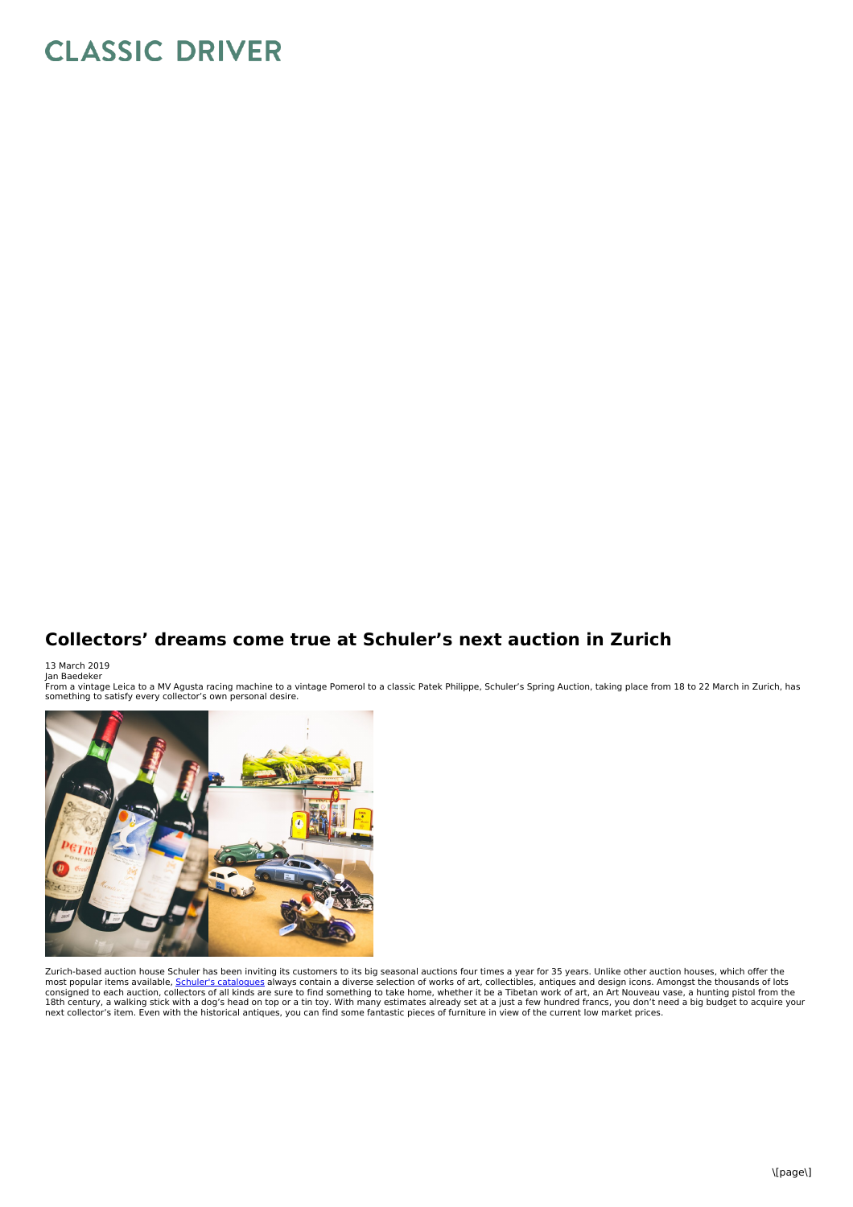## **CLASSIC DRIVER**

## **Collectors' dreams come true at Schuler's next auction in Zurich**

13 March 2019 Jan Baedeker

From a vintage Leica to a MV Agusta racing machine to a vintage Pomerol to a classic Patek Philippe, Schuler's Spring Auction, taking place from 18 to 22 March in Zurich, has<br>something to satisfy every collector's own pers



Zurich-based auction house Schuler has been inviting its customers to its big seasonal auctions four times a year for 35 years. Unlike other auction houses, which offer the<br>most popular items available, <u>Schuler's cataloqu</u> consigned to each auction, collectors of all kinds are sure to find something to take home, whether it be a Tibetan work of art, an Art Nouveau vase, a hunting pistol from the<br>18th century, a walking stick with a dog's hea